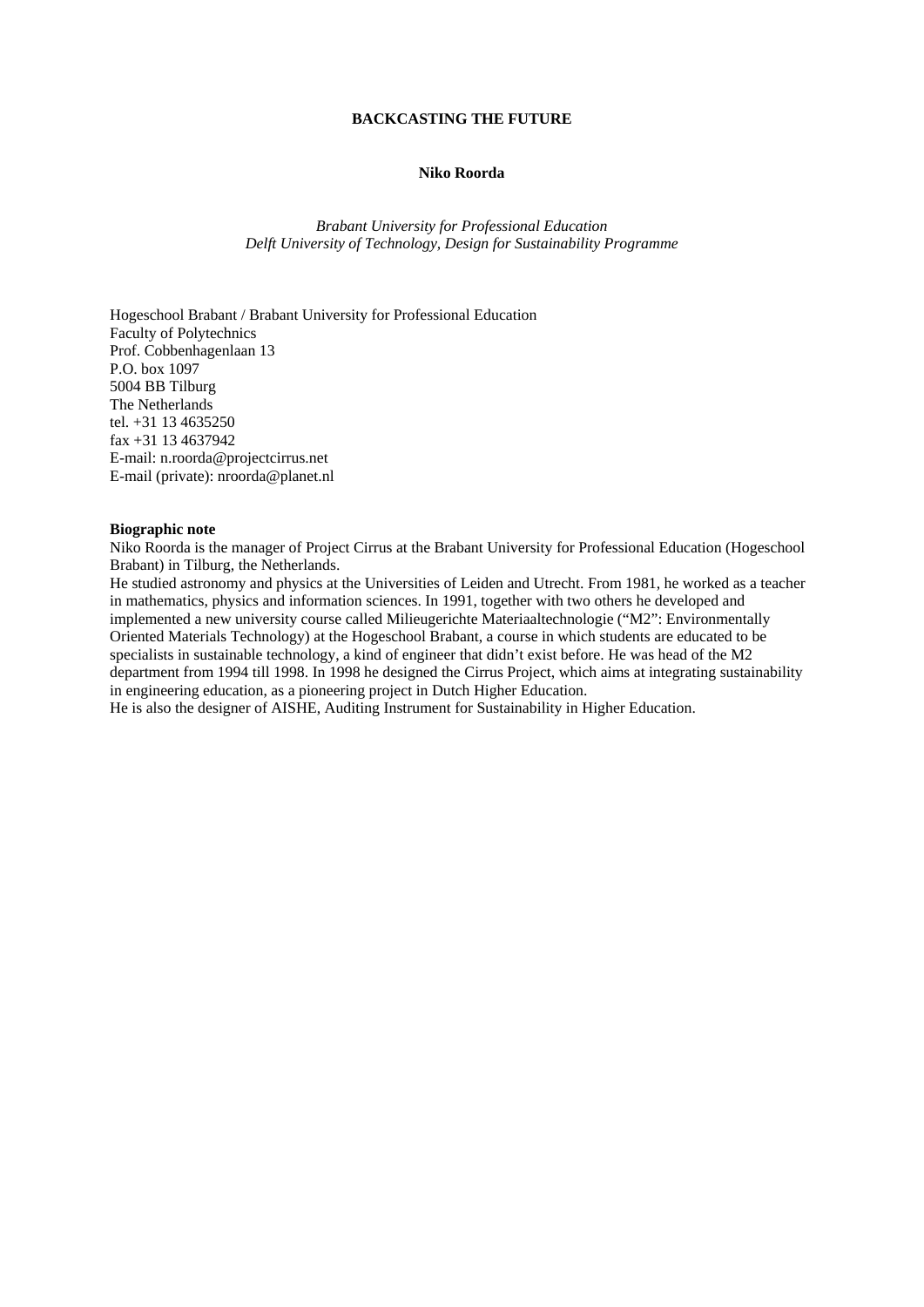#### **BACKCASTING THE FUTURE**

### **Niko Roorda**

*Brabant University for Professional Education Delft University of Technology, Design for Sustainability Programme* 

Hogeschool Brabant / Brabant University for Professional Education Faculty of Polytechnics Prof. Cobbenhagenlaan 13 P.O. box 1097 5004 BB Tilburg The Netherlands tel. +31 13 4635250 fax +31 13 4637942 E-mail: n.roorda@projectcirrus.net E-mail (private): nroorda@planet.nl

### **Biographic note**

Niko Roorda is the manager of Project Cirrus at the Brabant University for Professional Education (Hogeschool Brabant) in Tilburg, the Netherlands.

He studied astronomy and physics at the Universities of Leiden and Utrecht. From 1981, he worked as a teacher in mathematics, physics and information sciences. In 1991, together with two others he developed and implemented a new university course called Milieugerichte Materiaaltechnologie ("M2": Environmentally Oriented Materials Technology) at the Hogeschool Brabant, a course in which students are educated to be specialists in sustainable technology, a kind of engineer that didn't exist before. He was head of the M2 department from 1994 till 1998. In 1998 he designed the Cirrus Project, which aims at integrating sustainability in engineering education, as a pioneering project in Dutch Higher Education.

He is also the designer of AISHE, Auditing Instrument for Sustainability in Higher Education.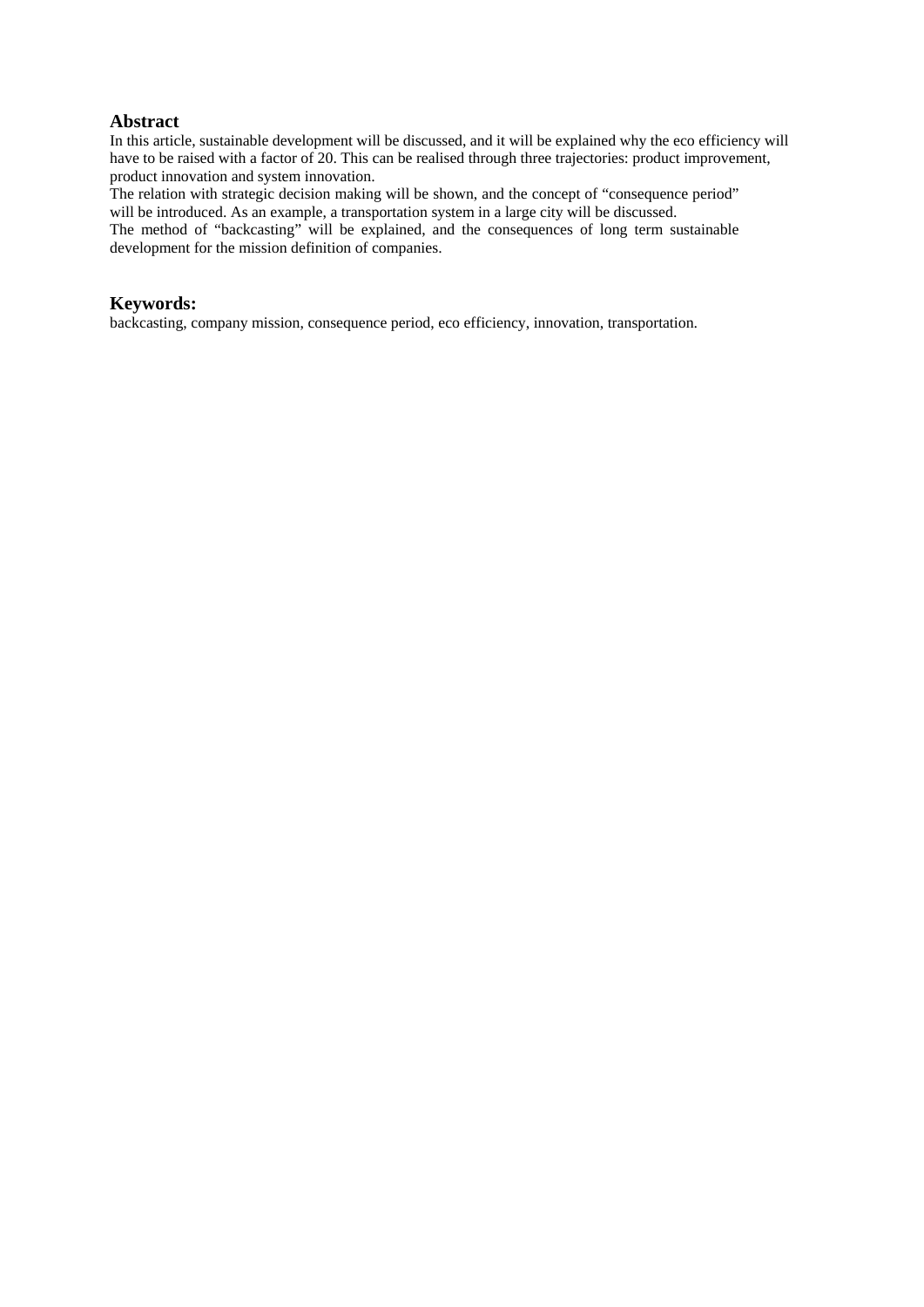# **Abstract**

In this article, sustainable development will be discussed, and it will be explained why the eco efficiency will have to be raised with a factor of 20. This can be realised through three trajectories: product improvement, product innovation and system innovation.

The relation with strategic decision making will be shown, and the concept of "consequence period" will be introduced. As an example, a transportation system in a large city will be discussed.

The method of "backcasting" will be explained, and the consequences of long term sustainable development for the mission definition of companies.

## **Keywords:**

backcasting, company mission, consequence period, eco efficiency, innovation, transportation.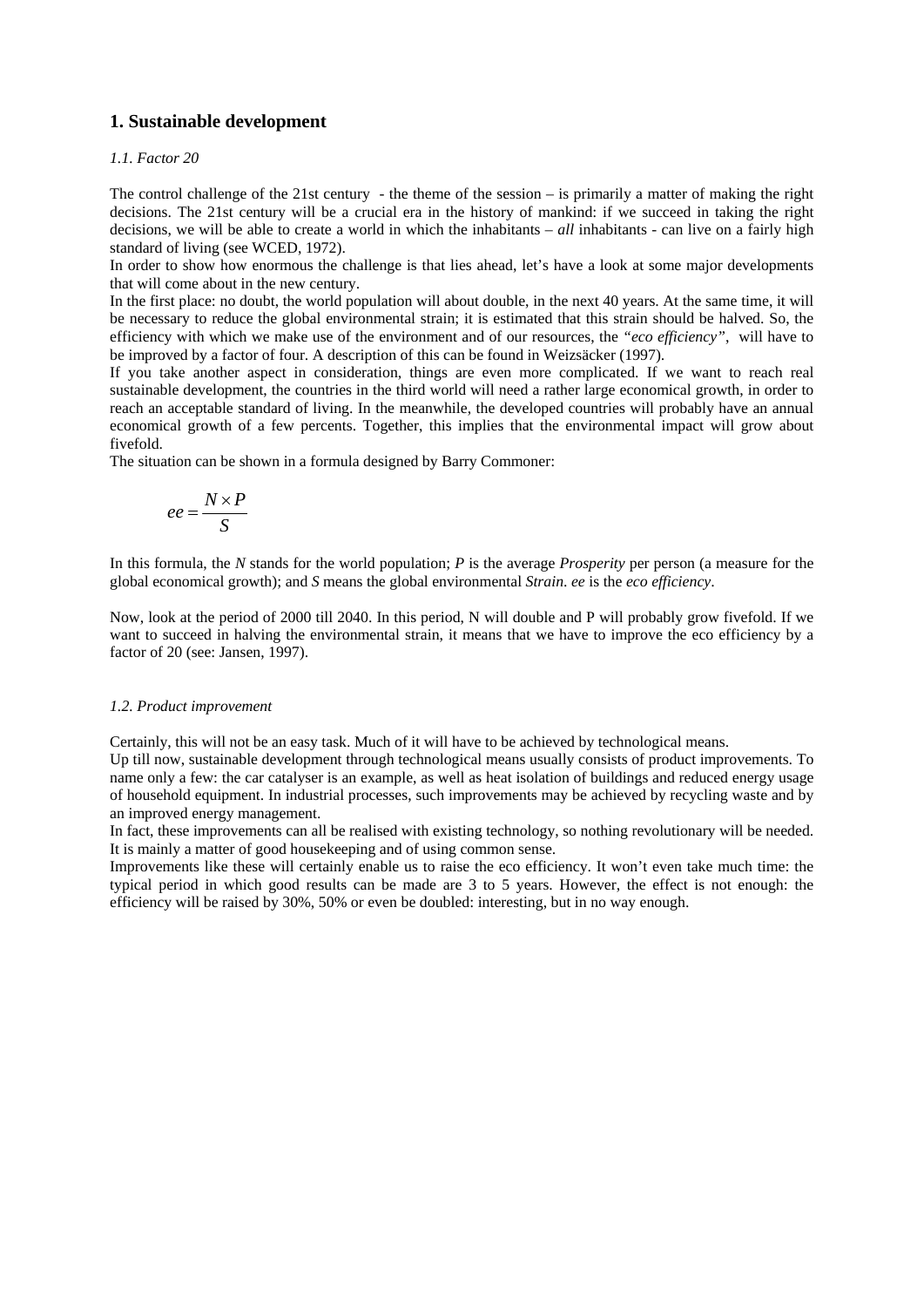# **1. Sustainable development**

### *1.1. Factor 20*

The control challenge of the 21st century - the theme of the session – is primarily a matter of making the right decisions. The 21st century will be a crucial era in the history of mankind: if we succeed in taking the right decisions, we will be able to create a world in which the inhabitants – *all* inhabitants - can live on a fairly high standard of living (see WCED, 1972).

In order to show how enormous the challenge is that lies ahead, let's have a look at some major developments that will come about in the new century.

In the first place: no doubt, the world population will about double, in the next 40 years. At the same time, it will be necessary to reduce the global environmental strain; it is estimated that this strain should be halved. So, the efficiency with which we make use of the environment and of our resources, the *"eco efficiency"*, will have to be improved by a factor of four. A description of this can be found in Weizsäcker (1997).

If you take another aspect in consideration, things are even more complicated. If we want to reach real sustainable development, the countries in the third world will need a rather large economical growth, in order to reach an acceptable standard of living. In the meanwhile, the developed countries will probably have an annual economical growth of a few percents. Together, this implies that the environmental impact will grow about fivefold.

The situation can be shown in a formula designed by Barry Commoner:

$$
ee = \frac{N \times P}{S}
$$

In this formula, the *N* stands for the world population; *P* is the average *Prosperity* per person (a measure for the global economical growth); and *S* means the global environmental *Strain*. *ee* is the *eco efficiency*.

Now, look at the period of 2000 till 2040. In this period, N will double and P will probably grow fivefold. If we want to succeed in halving the environmental strain, it means that we have to improve the eco efficiency by a factor of 20 (see: Jansen, 1997).

#### *1.2. Product improvement*

Certainly, this will not be an easy task. Much of it will have to be achieved by technological means.

Up till now, sustainable development through technological means usually consists of product improvements. To name only a few: the car catalyser is an example, as well as heat isolation of buildings and reduced energy usage of household equipment. In industrial processes, such improvements may be achieved by recycling waste and by an improved energy management.

In fact, these improvements can all be realised with existing technology, so nothing revolutionary will be needed. It is mainly a matter of good housekeeping and of using common sense.

Improvements like these will certainly enable us to raise the eco efficiency. It won't even take much time: the typical period in which good results can be made are 3 to 5 years. However, the effect is not enough: the efficiency will be raised by 30%, 50% or even be doubled: interesting, but in no way enough.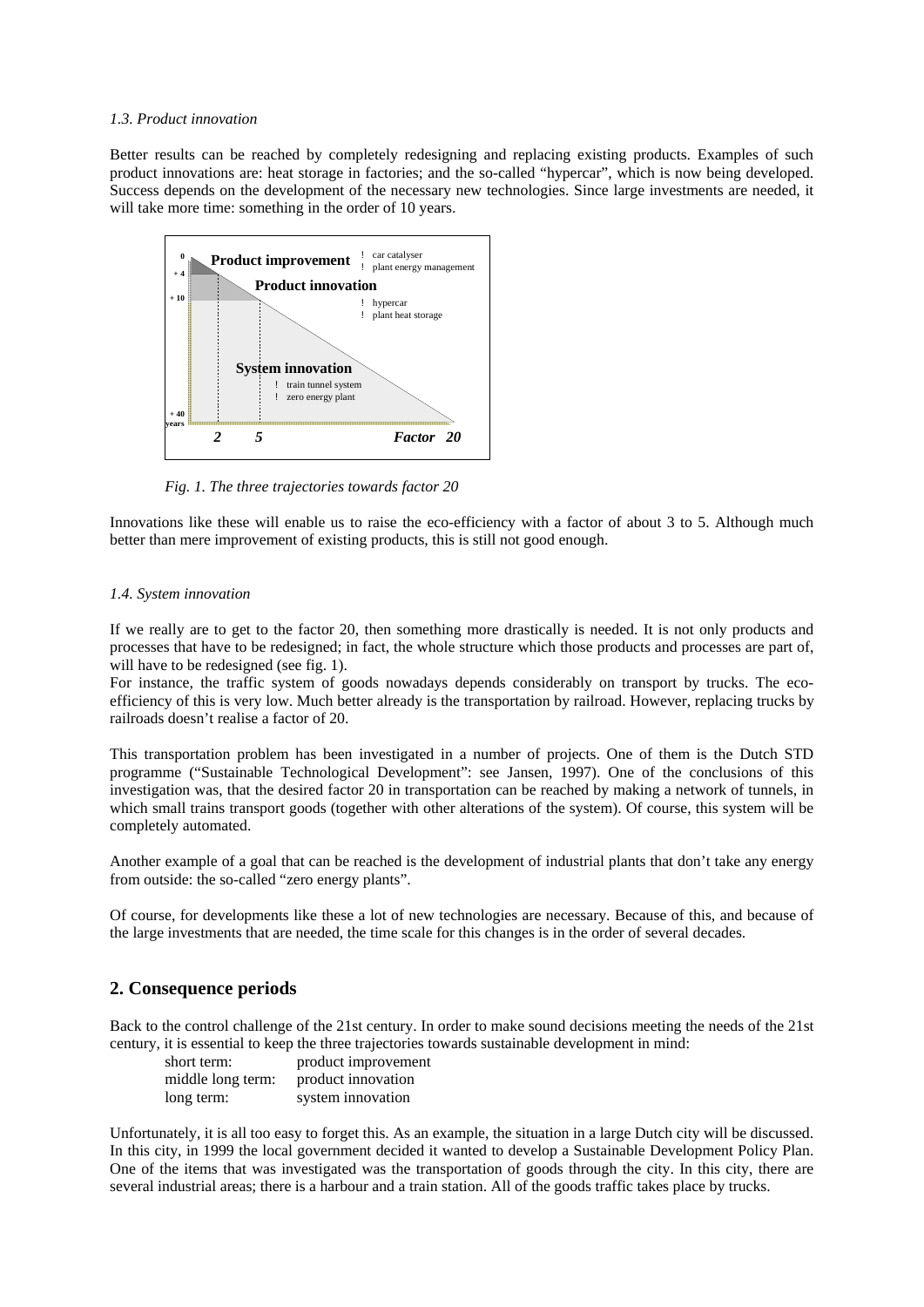#### *1.3. Product innovation*

Better results can be reached by completely redesigning and replacing existing products. Examples of such product innovations are: heat storage in factories; and the so-called "hypercar", which is now being developed. Success depends on the development of the necessary new technologies. Since large investments are needed, it will take more time: something in the order of 10 years.



*Fig. 1. The three trajectories towards factor 20* 

Innovations like these will enable us to raise the eco-efficiency with a factor of about 3 to 5. Although much better than mere improvement of existing products, this is still not good enough.

## *1.4. System innovation*

If we really are to get to the factor 20, then something more drastically is needed. It is not only products and processes that have to be redesigned; in fact, the whole structure which those products and processes are part of, will have to be redesigned (see fig. 1).

For instance, the traffic system of goods nowadays depends considerably on transport by trucks. The ecoefficiency of this is very low. Much better already is the transportation by railroad. However, replacing trucks by railroads doesn't realise a factor of 20.

This transportation problem has been investigated in a number of projects. One of them is the Dutch STD programme ("Sustainable Technological Development": see Jansen, 1997). One of the conclusions of this investigation was, that the desired factor 20 in transportation can be reached by making a network of tunnels, in which small trains transport goods (together with other alterations of the system). Of course, this system will be completely automated.

Another example of a goal that can be reached is the development of industrial plants that don't take any energy from outside: the so-called "zero energy plants".

Of course, for developments like these a lot of new technologies are necessary. Because of this, and because of the large investments that are needed, the time scale for this changes is in the order of several decades.

# **2. Consequence periods**

Back to the control challenge of the 21st century. In order to make sound decisions meeting the needs of the 21st century, it is essential to keep the three trajectories towards sustainable development in mind:

| short term:       | product improvement |
|-------------------|---------------------|
| middle long term: | product innovation  |
| long term:        | system innovation   |

Unfortunately, it is all too easy to forget this. As an example, the situation in a large Dutch city will be discussed. In this city, in 1999 the local government decided it wanted to develop a Sustainable Development Policy Plan. One of the items that was investigated was the transportation of goods through the city. In this city, there are several industrial areas; there is a harbour and a train station. All of the goods traffic takes place by trucks.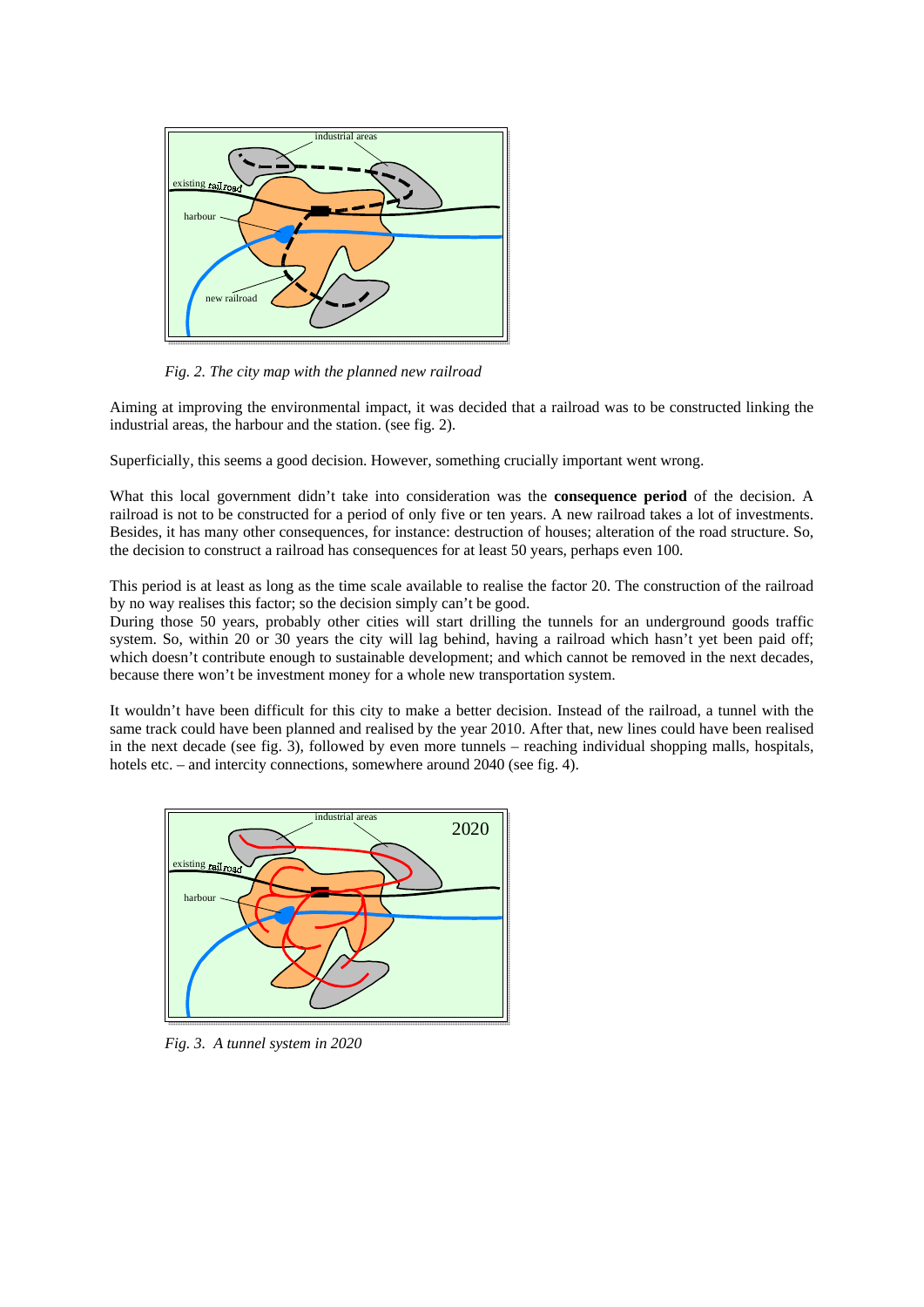

*Fig. 2. The city map with the planned new railroad* 

Aiming at improving the environmental impact, it was decided that a railroad was to be constructed linking the industrial areas, the harbour and the station. (see fig. 2).

Superficially, this seems a good decision. However, something crucially important went wrong.

What this local government didn't take into consideration was the **consequence period** of the decision. A railroad is not to be constructed for a period of only five or ten years. A new railroad takes a lot of investments. Besides, it has many other consequences, for instance: destruction of houses; alteration of the road structure. So, the decision to construct a railroad has consequences for at least 50 years, perhaps even 100.

This period is at least as long as the time scale available to realise the factor 20. The construction of the railroad by no way realises this factor; so the decision simply can't be good.

During those 50 years, probably other cities will start drilling the tunnels for an underground goods traffic system. So, within 20 or 30 years the city will lag behind, having a railroad which hasn't yet been paid off; which doesn't contribute enough to sustainable development; and which cannot be removed in the next decades, because there won't be investment money for a whole new transportation system.

It wouldn't have been difficult for this city to make a better decision. Instead of the railroad, a tunnel with the same track could have been planned and realised by the year 2010. After that, new lines could have been realised in the next decade (see fig. 3), followed by even more tunnels – reaching individual shopping malls, hospitals, hotels etc. – and intercity connections, somewhere around 2040 (see fig. 4).



*Fig. 3. A tunnel system in 2020*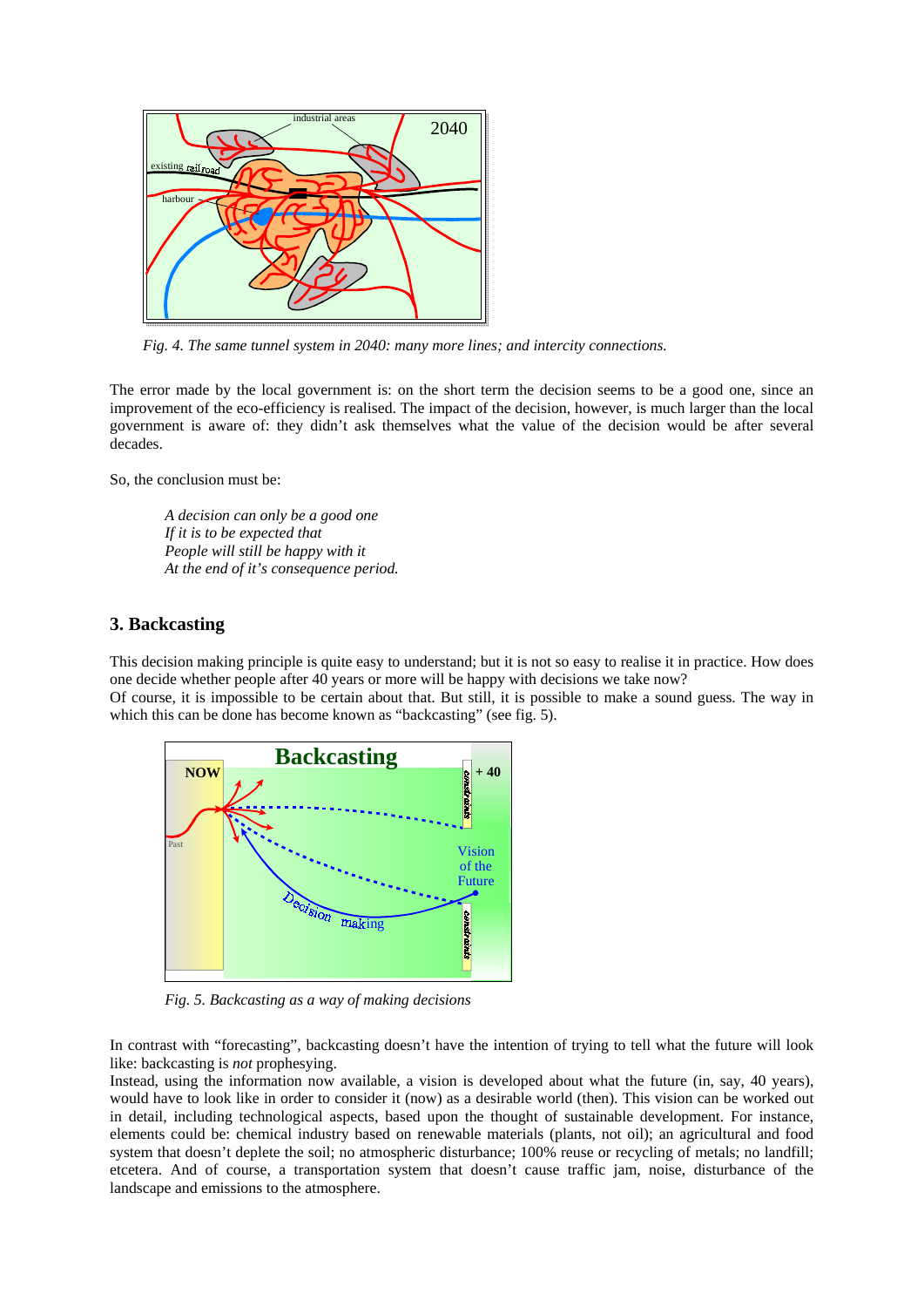

*Fig. 4. The same tunnel system in 2040: many more lines; and intercity connections.* 

The error made by the local government is: on the short term the decision seems to be a good one, since an improvement of the eco-efficiency is realised. The impact of the decision, however, is much larger than the local government is aware of: they didn't ask themselves what the value of the decision would be after several decades.

So, the conclusion must be:

*A decision can only be a good one If it is to be expected that People will still be happy with it At the end of it's consequence period.* 

# **3. Backcasting**

This decision making principle is quite easy to understand; but it is not so easy to realise it in practice. How does one decide whether people after 40 years or more will be happy with decisions we take now? Of course, it is impossible to be certain about that. But still, it is possible to make a sound guess. The way in which this can be done has become known as "backcasting" (see fig. 5).



*Fig. 5. Backcasting as a way of making decisions* 

In contrast with "forecasting", backcasting doesn't have the intention of trying to tell what the future will look like: backcasting is *not* prophesying.

Instead, using the information now available, a vision is developed about what the future (in, say, 40 years), would have to look like in order to consider it (now) as a desirable world (then). This vision can be worked out in detail, including technological aspects, based upon the thought of sustainable development. For instance, elements could be: chemical industry based on renewable materials (plants, not oil); an agricultural and food system that doesn't deplete the soil; no atmospheric disturbance; 100% reuse or recycling of metals; no landfill; etcetera. And of course, a transportation system that doesn't cause traffic jam, noise, disturbance of the landscape and emissions to the atmosphere.